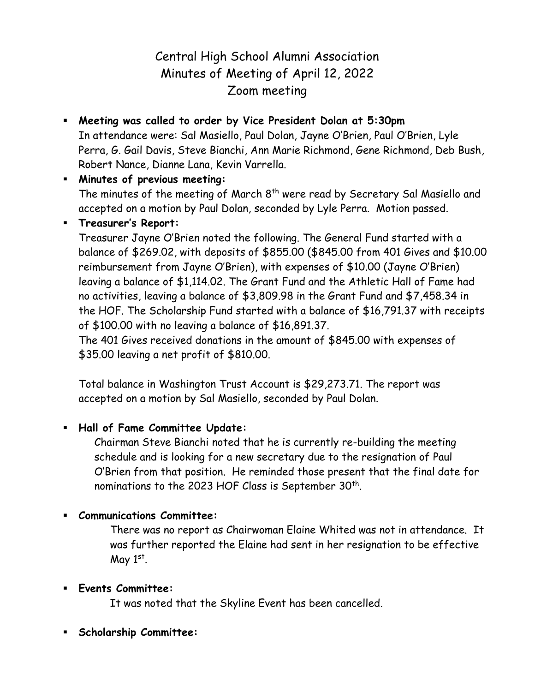# Central High School Alumni Association Minutes of Meeting of April 12, 2022 Zoom meeting

 **Meeting was called to order by Vice President Dolan at 5:30pm** In attendance were: Sal Masiello, Paul Dolan, Jayne O'Brien, Paul O'Brien, Lyle Perra, G. Gail Davis, Steve Bianchi, Ann Marie Richmond, Gene Richmond, Deb Bush, Robert Nance, Dianne Lana, Kevin Varrella.

 **Minutes of previous meeting:** The minutes of the meeting of March  $8<sup>th</sup>$  were read by Secretary Sal Masiello and accepted on a motion by Paul Dolan, seconded by Lyle Perra. Motion passed.

## **Treasurer's Report:**

Treasurer Jayne O'Brien noted the following. The General Fund started with a balance of \$269.02, with deposits of \$855.00 (\$845.00 from 401 Gives and \$10.00 reimbursement from Jayne O'Brien), with expenses of \$10.00 (Jayne O'Brien) leaving a balance of \$1,114.02. The Grant Fund and the Athletic Hall of Fame had no activities, leaving a balance of \$3,809.98 in the Grant Fund and \$7,458.34 in the HOF. The Scholarship Fund started with a balance of \$16,791.37 with receipts of \$100.00 with no leaving a balance of \$16,891.37.

The 401 Gives received donations in the amount of \$845.00 with expenses of \$35.00 leaving a net profit of \$810.00.

Total balance in Washington Trust Account is \$29,273.71. The report was accepted on a motion by Sal Masiello, seconded by Paul Dolan.

## **Hall of Fame Committee Update:**

Chairman Steve Bianchi noted that he is currently re-building the meeting schedule and is looking for a new secretary due to the resignation of Paul O'Brien from that position. He reminded those present that the final date for nominations to the 2023 HOF Class is September 30th.

## **Communications Committee:**

There was no report as Chairwoman Elaine Whited was not in attendance. It was further reported the Elaine had sent in her resignation to be effective May  $1<sup>st</sup>$ .

## **Events Committee:**

It was noted that the Skyline Event has been cancelled.

**Scholarship Committee:**